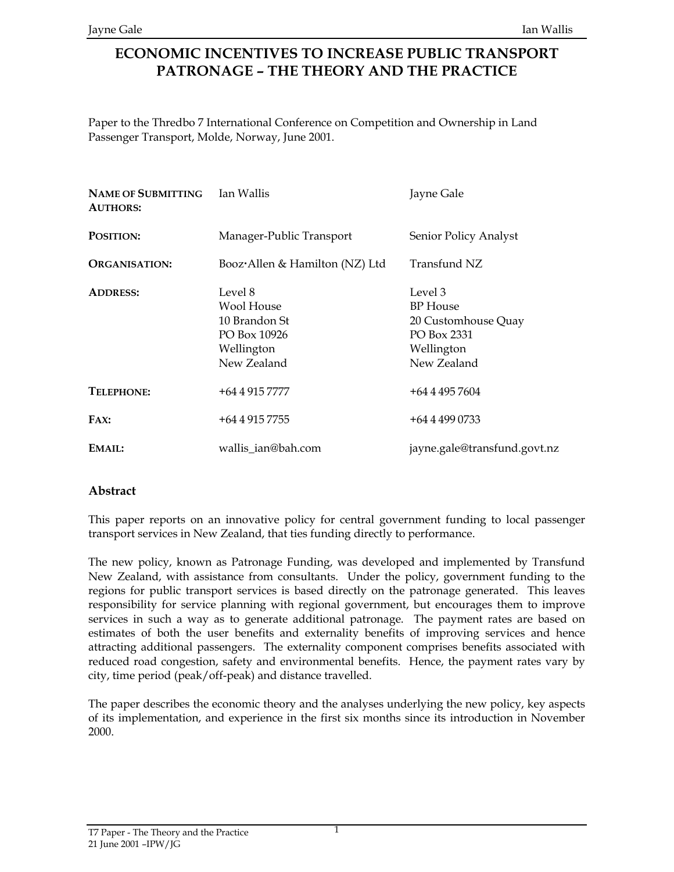# **ECONOMIC INCENTIVES TO INCREASE PUBLIC TRANSPORT PATRONAGE – THE THEORY AND THE PRACTICE**

Paper to the Thredbo 7 International Conference on Competition and Ownership in Land Passenger Transport, Molde, Norway, June 2001.

| <b>NAME OF SUBMITTING</b><br><b>AUTHORS:</b> | Ian Wallis                                                                          | Jayne Gale                                                                                    |  |
|----------------------------------------------|-------------------------------------------------------------------------------------|-----------------------------------------------------------------------------------------------|--|
| POSITION:<br>Manager-Public Transport        |                                                                                     | Senior Policy Analyst                                                                         |  |
| <b>ORGANISATION:</b>                         | Booz Allen & Hamilton (NZ) Ltd                                                      | Transfund NZ                                                                                  |  |
| <b>ADDRESS:</b>                              | Level 8<br>Wool House<br>10 Brandon St<br>PO Box 10926<br>Wellington<br>New Zealand | Level 3<br><b>BP</b> House<br>20 Customhouse Quay<br>PO Box 2331<br>Wellington<br>New Zealand |  |
| <b>TELEPHONE:</b>                            | +64 4 915 7777                                                                      | +64 4 495 7604                                                                                |  |
| FAX:                                         | +64 4 915 7755                                                                      | +64 4 499 0733                                                                                |  |
| <b>EMAIL:</b>                                | wallis_ian@bah.com                                                                  | jayne.gale@transfund.govt.nz                                                                  |  |

### **Abstract**

This paper reports on an innovative policy for central government funding to local passenger transport services in New Zealand, that ties funding directly to performance.

The new policy, known as Patronage Funding, was developed and implemented by Transfund New Zealand, with assistance from consultants. Under the policy, government funding to the regions for public transport services is based directly on the patronage generated. This leaves responsibility for service planning with regional government, but encourages them to improve services in such a way as to generate additional patronage. The payment rates are based on estimates of both the user benefits and externality benefits of improving services and hence attracting additional passengers. The externality component comprises benefits associated with reduced road congestion, safety and environmental benefits. Hence, the payment rates vary by city, time period (peak/off-peak) and distance travelled.

The paper describes the economic theory and the analyses underlying the new policy, key aspects of its implementation, and experience in the first six months since its introduction in November 2000.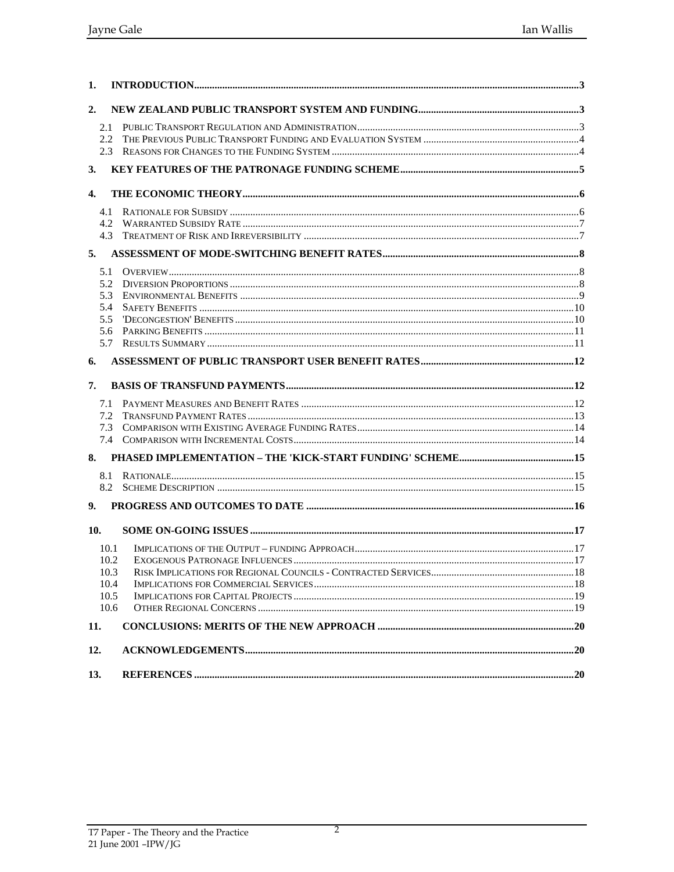| 1.  |                                               |  |
|-----|-----------------------------------------------|--|
| 2.  |                                               |  |
|     | 2.1<br>2.2<br>$2.3^{\circ}$                   |  |
| 3.  |                                               |  |
| 4.  |                                               |  |
|     | 4.1<br>4.2<br>4.3                             |  |
| 5.  |                                               |  |
|     | 5.1<br>5.2<br>5.3<br>5.4<br>5.5<br>5.6<br>5.7 |  |
| 6.  |                                               |  |
| 7.  |                                               |  |
|     | 7.1<br>7.2<br>7.3<br>7.4                      |  |
| 8.  |                                               |  |
|     | 8.1<br>8.2                                    |  |
| 9.  |                                               |  |
| 10. |                                               |  |
|     | 10.1<br>10.2<br>10.3<br>10.4<br>10.5<br>10.6  |  |
| 11. |                                               |  |
| 12. |                                               |  |
| 13. |                                               |  |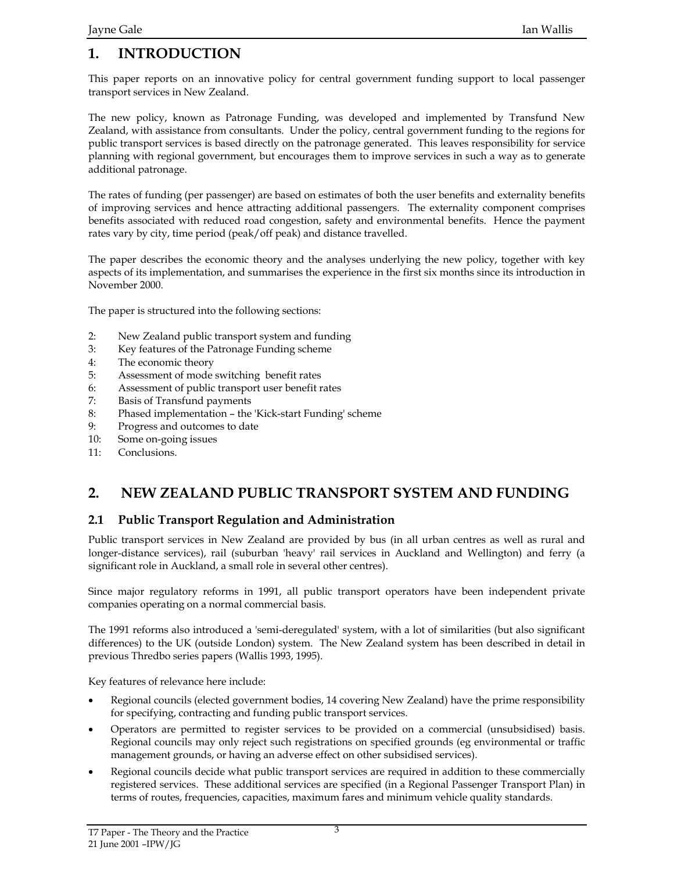# **1. INTRODUCTION**

This paper reports on an innovative policy for central government funding support to local passenger transport services in New Zealand.

The new policy, known as Patronage Funding, was developed and implemented by Transfund New Zealand, with assistance from consultants. Under the policy, central government funding to the regions for public transport services is based directly on the patronage generated. This leaves responsibility for service planning with regional government, but encourages them to improve services in such a way as to generate additional patronage.

The rates of funding (per passenger) are based on estimates of both the user benefits and externality benefits of improving services and hence attracting additional passengers. The externality component comprises benefits associated with reduced road congestion, safety and environmental benefits. Hence the payment rates vary by city, time period (peak/off peak) and distance travelled.

The paper describes the economic theory and the analyses underlying the new policy, together with key aspects of its implementation, and summarises the experience in the first six months since its introduction in November 2000.

The paper is structured into the following sections:

- 2: New Zealand public transport system and funding
- 3: Key features of the Patronage Funding scheme
- 4: The economic theory
- 5: Assessment of mode switching benefit rates
- 6: Assessment of public transport user benefit rates
- 7: Basis of Transfund payments
- 8: Phased implementation the 'Kick-start Funding' scheme
- 9: Progress and outcomes to date
- 10: Some on-going issues
- 11: Conclusions.

## **2. NEW ZEALAND PUBLIC TRANSPORT SYSTEM AND FUNDING**

### **2.1 Public Transport Regulation and Administration**

Public transport services in New Zealand are provided by bus (in all urban centres as well as rural and longer-distance services), rail (suburban 'heavy' rail services in Auckland and Wellington) and ferry (a significant role in Auckland, a small role in several other centres).

Since major regulatory reforms in 1991, all public transport operators have been independent private companies operating on a normal commercial basis.

The 1991 reforms also introduced a 'semi-deregulated' system, with a lot of similarities (but also significant differences) to the UK (outside London) system. The New Zealand system has been described in detail in previous Thredbo series papers (Wallis 1993, 1995).

Key features of relevance here include:

- Regional councils (elected government bodies, 14 covering New Zealand) have the prime responsibility for specifying, contracting and funding public transport services.
- Operators are permitted to register services to be provided on a commercial (unsubsidised) basis. Regional councils may only reject such registrations on specified grounds (eg environmental or traffic management grounds, or having an adverse effect on other subsidised services).
- Regional councils decide what public transport services are required in addition to these commercially registered services. These additional services are specified (in a Regional Passenger Transport Plan) in terms of routes, frequencies, capacities, maximum fares and minimum vehicle quality standards.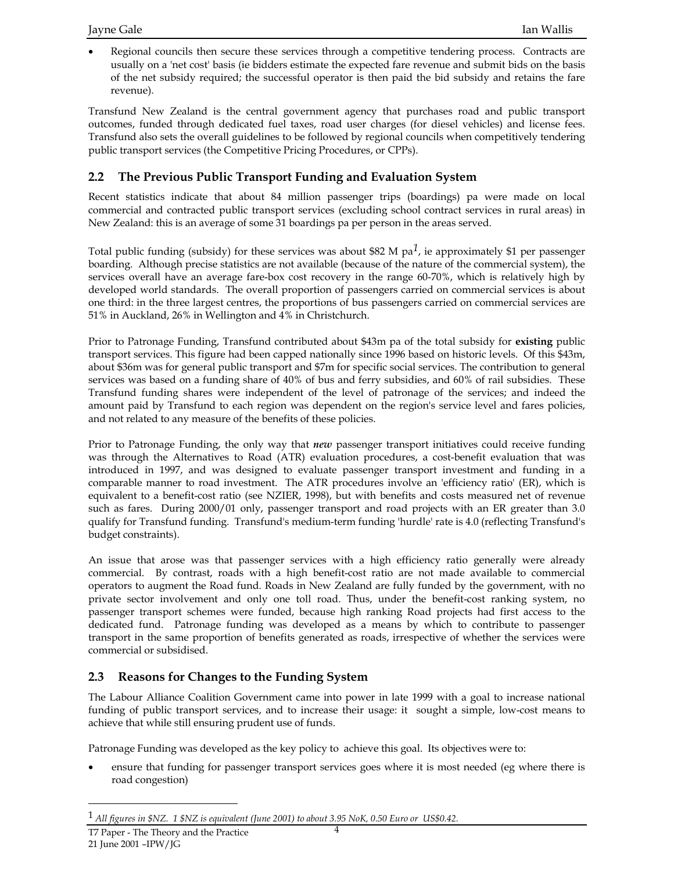• Regional councils then secure these services through a competitive tendering process. Contracts are usually on a 'net cost' basis (ie bidders estimate the expected fare revenue and submit bids on the basis of the net subsidy required; the successful operator is then paid the bid subsidy and retains the fare revenue).

Transfund New Zealand is the central government agency that purchases road and public transport outcomes, funded through dedicated fuel taxes, road user charges (for diesel vehicles) and license fees. Transfund also sets the overall guidelines to be followed by regional councils when competitively tendering public transport services (the Competitive Pricing Procedures, or CPPs).

## **2.2 The Previous Public Transport Funding and Evaluation System**

Recent statistics indicate that about 84 million passenger trips (boardings) pa were made on local commercial and contracted public transport services (excluding school contract services in rural areas) in New Zealand: this is an average of some 31 boardings pa per person in the areas served.

Total public funding (subsidy) for these services was about \$82 M pa*1*, ie approximately \$1 per passenger boarding. Although precise statistics are not available (because of the nature of the commercial system), the services overall have an average fare-box cost recovery in the range 60-70%, which is relatively high by developed world standards. The overall proportion of passengers carried on commercial services is about one third: in the three largest centres, the proportions of bus passengers carried on commercial services are 51% in Auckland, 26% in Wellington and 4% in Christchurch.

Prior to Patronage Funding, Transfund contributed about \$43m pa of the total subsidy for **existing** public transport services. This figure had been capped nationally since 1996 based on historic levels. Of this \$43m, about \$36m was for general public transport and \$7m for specific social services. The contribution to general services was based on a funding share of 40% of bus and ferry subsidies, and 60% of rail subsidies. These Transfund funding shares were independent of the level of patronage of the services; and indeed the amount paid by Transfund to each region was dependent on the region's service level and fares policies, and not related to any measure of the benefits of these policies.

Prior to Patronage Funding, the only way that *new* passenger transport initiatives could receive funding was through the Alternatives to Road (ATR) evaluation procedures, a cost-benefit evaluation that was introduced in 1997, and was designed to evaluate passenger transport investment and funding in a comparable manner to road investment. The ATR procedures involve an 'efficiency ratio' (ER), which is equivalent to a benefit-cost ratio (see NZIER, 1998), but with benefits and costs measured net of revenue such as fares. During 2000/01 only, passenger transport and road projects with an ER greater than 3.0 qualify for Transfund funding. Transfund's medium-term funding 'hurdle' rate is 4.0 (reflecting Transfund's budget constraints).

An issue that arose was that passenger services with a high efficiency ratio generally were already commercial. By contrast, roads with a high benefit-cost ratio are not made available to commercial operators to augment the Road fund. Roads in New Zealand are fully funded by the government, with no private sector involvement and only one toll road. Thus, under the benefit-cost ranking system, no passenger transport schemes were funded, because high ranking Road projects had first access to the dedicated fund. Patronage funding was developed as a means by which to contribute to passenger transport in the same proportion of benefits generated as roads, irrespective of whether the services were commercial or subsidised.

## **2.3 Reasons for Changes to the Funding System**

The Labour Alliance Coalition Government came into power in late 1999 with a goal to increase national funding of public transport services, and to increase their usage: it sought a simple, low-cost means to achieve that while still ensuring prudent use of funds.

Patronage Funding was developed as the key policy to achieve this goal. Its objectives were to:

• ensure that funding for passenger transport services goes where it is most needed (eg where there is road congestion)

1 *All figures in \$NZ. 1 \$NZ is equivalent (June 2001) to about 3.95 NoK, 0.50 Euro or US\$0.42.* 

 $\overline{a}$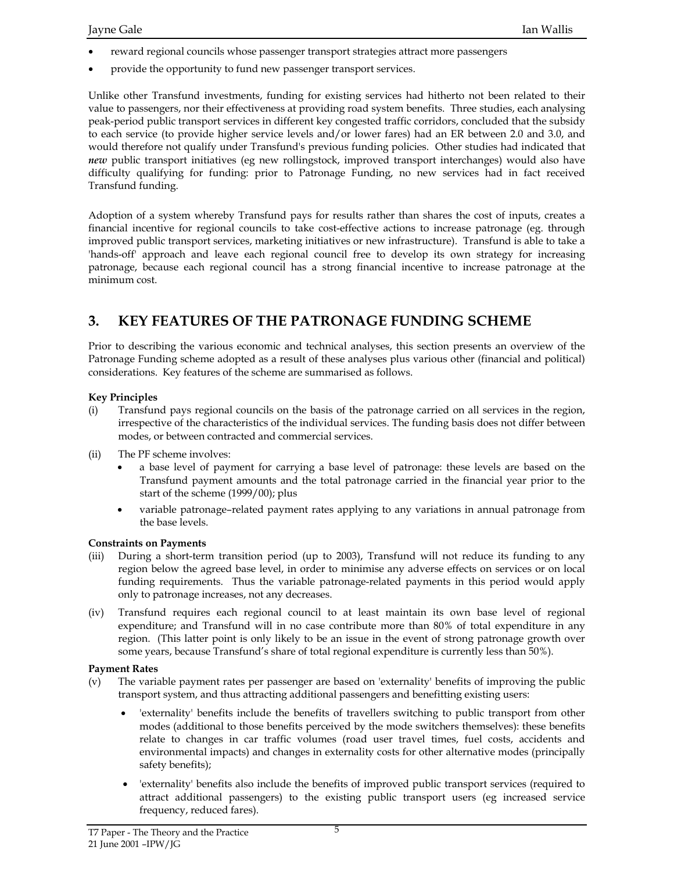- reward regional councils whose passenger transport strategies attract more passengers
- provide the opportunity to fund new passenger transport services.

Unlike other Transfund investments, funding for existing services had hitherto not been related to their value to passengers, nor their effectiveness at providing road system benefits. Three studies, each analysing peak-period public transport services in different key congested traffic corridors, concluded that the subsidy to each service (to provide higher service levels and/or lower fares) had an ER between 2.0 and 3.0, and would therefore not qualify under Transfund's previous funding policies. Other studies had indicated that *new* public transport initiatives (eg new rollingstock, improved transport interchanges) would also have difficulty qualifying for funding: prior to Patronage Funding, no new services had in fact received Transfund funding.

Adoption of a system whereby Transfund pays for results rather than shares the cost of inputs, creates a financial incentive for regional councils to take cost-effective actions to increase patronage (eg. through improved public transport services, marketing initiatives or new infrastructure). Transfund is able to take a 'hands-off' approach and leave each regional council free to develop its own strategy for increasing patronage, because each regional council has a strong financial incentive to increase patronage at the minimum cost.

# **3. KEY FEATURES OF THE PATRONAGE FUNDING SCHEME**

Prior to describing the various economic and technical analyses, this section presents an overview of the Patronage Funding scheme adopted as a result of these analyses plus various other (financial and political) considerations. Key features of the scheme are summarised as follows.

#### **Key Principles**

- (i) Transfund pays regional councils on the basis of the patronage carried on all services in the region, irrespective of the characteristics of the individual services. The funding basis does not differ between modes, or between contracted and commercial services.
- (ii) The PF scheme involves:
	- a base level of payment for carrying a base level of patronage: these levels are based on the Transfund payment amounts and the total patronage carried in the financial year prior to the start of the scheme (1999/00); plus
	- variable patronage–related payment rates applying to any variations in annual patronage from the base levels.

#### **Constraints on Payments**

- (iii) During a short-term transition period (up to 2003), Transfund will not reduce its funding to any region below the agreed base level, in order to minimise any adverse effects on services or on local funding requirements. Thus the variable patronage-related payments in this period would apply only to patronage increases, not any decreases.
- (iv) Transfund requires each regional council to at least maintain its own base level of regional expenditure; and Transfund will in no case contribute more than 80% of total expenditure in any region. (This latter point is only likely to be an issue in the event of strong patronage growth over some years, because Transfund's share of total regional expenditure is currently less than 50%).

#### **Payment Rates**

- (v) The variable payment rates per passenger are based on 'externality' benefits of improving the public transport system, and thus attracting additional passengers and benefitting existing users:
	- 'externality' benefits include the benefits of travellers switching to public transport from other modes (additional to those benefits perceived by the mode switchers themselves): these benefits relate to changes in car traffic volumes (road user travel times, fuel costs, accidents and environmental impacts) and changes in externality costs for other alternative modes (principally safety benefits);
	- 'externality' benefits also include the benefits of improved public transport services (required to attract additional passengers) to the existing public transport users (eg increased service frequency, reduced fares).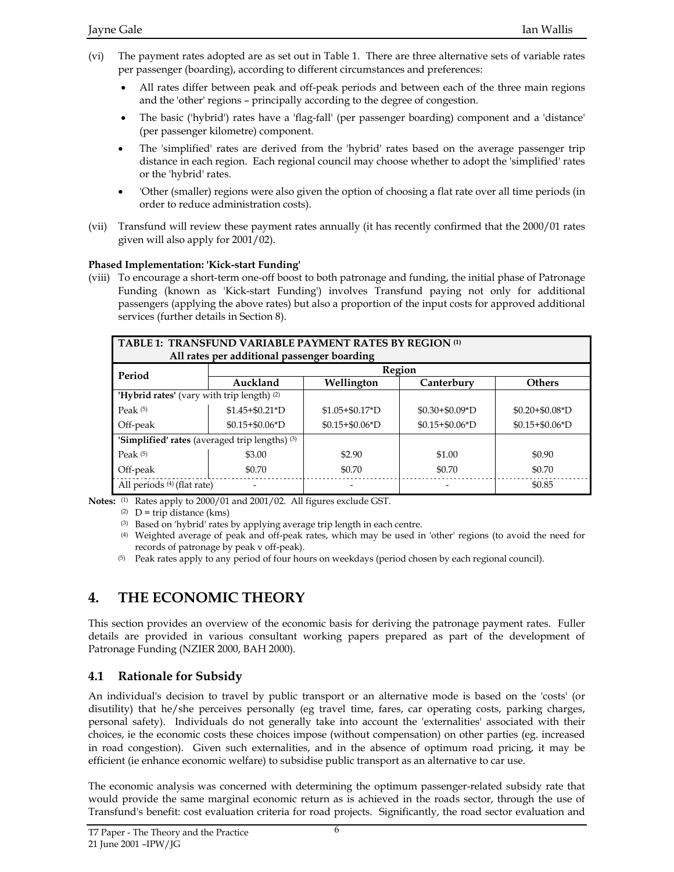- (vi) The payment rates adopted are as set out in Table 1. There are three alternative sets of variable rates per passenger (boarding), according to different circumstances and preferences:
	- All rates differ between peak and off-peak periods and between each of the three main regions and the 'other' regions – principally according to the degree of congestion.
	- The basic ('hybrid') rates have a 'flag-fall' (per passenger boarding) component and a 'distance' (per passenger kilometre) component.
	- The 'simplified' rates are derived from the 'hybrid' rates based on the average passenger trip distance in each region. Each regional council may choose whether to adopt the 'simplified' rates or the 'hybrid' rates.
	- 'Other (smaller) regions were also given the option of choosing a flat rate over all time periods (in order to reduce administration costs).
- (vii) Transfund will review these payment rates annually (it has recently confirmed that the 2000/01 rates given will also apply for 2001/02).

#### **Phased Implementation: 'Kick-start Funding'**

(viii) To encourage a short-term one-off boost to both patronage and funding, the initial phase of Patronage Funding (known as 'Kick-start Funding') involves Transfund paying not only for additional passengers (applying the above rates) but also a proportion of the input costs for approved additional services (further details in Section 8).

| TABLE 1: TRANSFUND VARIABLE PAYMENT RATES BY REGION (1) |                                             |                         |                    |                         |  |  |  |
|---------------------------------------------------------|---------------------------------------------|-------------------------|--------------------|-------------------------|--|--|--|
|                                                         | All rates per additional passenger boarding |                         |                    |                         |  |  |  |
| Period                                                  |                                             | Region                  |                    |                         |  |  |  |
|                                                         | Auckland                                    | Wellington              | Canterbury         | <b>Others</b>           |  |  |  |
| 'Hybrid rates' (vary with trip length) (2)              |                                             |                         |                    |                         |  |  |  |
| Peak $(5)$                                              | $$1.45 + $0.21$ <sup>*</sup> D              | $$1.05 + $0.17^{\ast}D$ | $$0.30 + $0.09^*D$ | $$0.20 + $0.08*D$       |  |  |  |
| Off-peak                                                | $$0.15 + $0.06*D$                           | $$0.15 + $0.06^*D$      | $$0.15 + $0.06*$ D | $$0.15 + $0.06^{\ast}D$ |  |  |  |
| 'Simplified' rates (averaged trip lengths) (3)          |                                             |                         |                    |                         |  |  |  |
| Peak $(5)$                                              | \$3.00                                      | \$2.90                  | \$1.00             | \$0.90                  |  |  |  |
| Off-peak                                                | \$0.70                                      | \$0.70                  | \$0.70             | \$0.70                  |  |  |  |
| All periods (4) (flat rate)                             |                                             |                         |                    | \$0.85                  |  |  |  |

**Notes:** (1) Rates apply to 2000/01 and 2001/02. All figures exclude GST.

- (2)  $D = trip distance (kms)$
- (3) Based on 'hybrid' rates by applying average trip length in each centre.
- (4) Weighted average of peak and off-peak rates, which may be used in 'other' regions (to avoid the need for records of patronage by peak v off-peak).
- (5) Peak rates apply to any period of four hours on weekdays (period chosen by each regional council).

# **4. THE ECONOMIC THEORY**

This section provides an overview of the economic basis for deriving the patronage payment rates. Fuller details are provided in various consultant working papers prepared as part of the development of Patronage Funding (NZIER 2000, BAH 2000).

## **4.1 Rationale for Subsidy**

An individual's decision to travel by public transport or an alternative mode is based on the 'costs' (or disutility) that he/she perceives personally (eg travel time, fares, car operating costs, parking charges, personal safety). Individuals do not generally take into account the 'externalities' associated with their choices, ie the economic costs these choices impose (without compensation) on other parties (eg. increased in road congestion). Given such externalities, and in the absence of optimum road pricing, it may be efficient (ie enhance economic welfare) to subsidise public transport as an alternative to car use.

The economic analysis was concerned with determining the optimum passenger-related subsidy rate that would provide the same marginal economic return as is achieved in the roads sector, through the use of Transfund's benefit: cost evaluation criteria for road projects. Significantly, the road sector evaluation and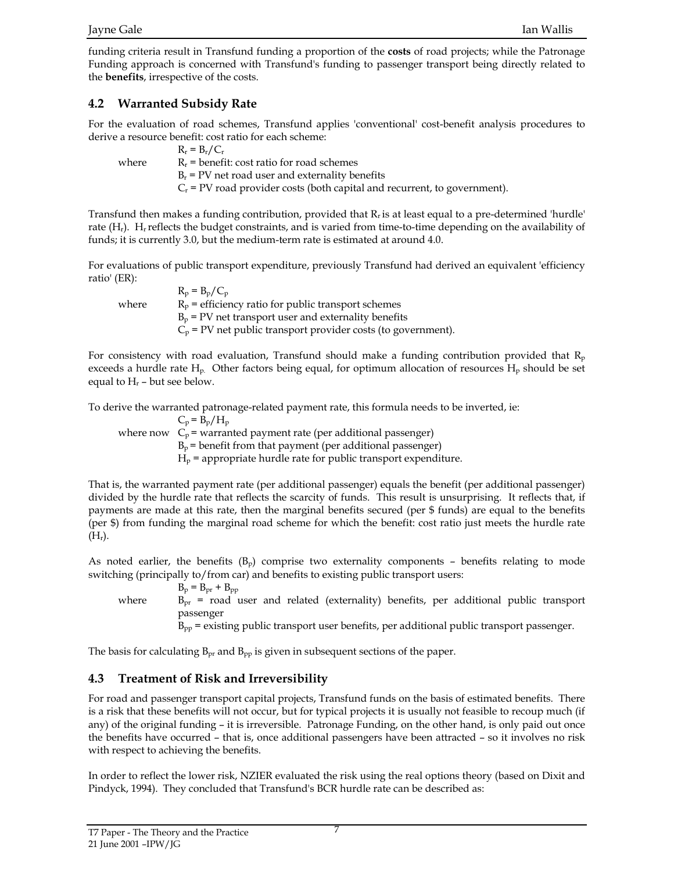funding criteria result in Transfund funding a proportion of the **costs** of road projects; while the Patronage Funding approach is concerned with Transfund's funding to passenger transport being directly related to the **benefits**, irrespective of the costs.

## **4.2 Warranted Subsidy Rate**

For the evaluation of road schemes, Transfund applies 'conventional' cost-benefit analysis procedures to derive a resource benefit: cost ratio for each scheme:

|       | $R_r = B_r / C_r$                                                           |
|-------|-----------------------------------------------------------------------------|
| where | $R_r$ = benefit: cost ratio for road schemes                                |
|       | $B_r$ = PV net road user and externality benefits                           |
|       | $C_r$ = PV road provider costs (both capital and recurrent, to government). |

Transfund then makes a funding contribution, provided that  $R_r$  is at least equal to a pre-determined 'hurdle' rate (H<sub>r</sub>). H<sub>r</sub> reflects the budget constraints, and is varied from time-to-time depending on the availability of funds; it is currently 3.0, but the medium-term rate is estimated at around 4.0.

For evaluations of public transport expenditure, previously Transfund had derived an equivalent 'efficiency ratio' (ER):

| where | $R_p = B_p / C_p$<br>$R_p$ = efficiency ratio for public transport schemes |
|-------|----------------------------------------------------------------------------|
|       | $B_p$ = PV net transport user and externality benefits                     |
|       | $C_p$ = PV net public transport provider costs (to government).            |

For consistency with road evaluation, Transfund should make a funding contribution provided that  $R_p$ exceeds a hurdle rate  $H_p$ . Other factors being equal, for optimum allocation of resources  $H_p$  should be set equal to  $H_r$  – but see below.

To derive the warranted patronage-related payment rate, this formula needs to be inverted, ie:

 $C_p = B_p/H_p$ where now  $C_p$  = warranted payment rate (per additional passenger)  $B_p$  = benefit from that payment (per additional passenger)  $H_p$  = appropriate hurdle rate for public transport expenditure.

That is, the warranted payment rate (per additional passenger) equals the benefit (per additional passenger) divided by the hurdle rate that reflects the scarcity of funds. This result is unsurprising. It reflects that, if payments are made at this rate, then the marginal benefits secured (per \$ funds) are equal to the benefits (per \$) from funding the marginal road scheme for which the benefit: cost ratio just meets the hurdle rate  $(H_r)$ .

As noted earlier, the benefits  $(B<sub>p</sub>)$  comprise two externality components - benefits relating to mode switching (principally to/from car) and benefits to existing public transport users:

 $B_p = B_{pr} + B_{pp}$ where  $B_{\text{pr}}$  = road user and related (externality) benefits, per additional public transport passenger

 $B_{pp}$  = existing public transport user benefits, per additional public transport passenger.

The basis for calculating  $B_{pr}$  and  $B_{pp}$  is given in subsequent sections of the paper.

## **4.3 Treatment of Risk and Irreversibility**

For road and passenger transport capital projects, Transfund funds on the basis of estimated benefits. There is a risk that these benefits will not occur, but for typical projects it is usually not feasible to recoup much (if any) of the original funding – it is irreversible. Patronage Funding, on the other hand, is only paid out once the benefits have occurred – that is, once additional passengers have been attracted – so it involves no risk with respect to achieving the benefits.

In order to reflect the lower risk, NZIER evaluated the risk using the real options theory (based on Dixit and Pindyck, 1994). They concluded that Transfund's BCR hurdle rate can be described as: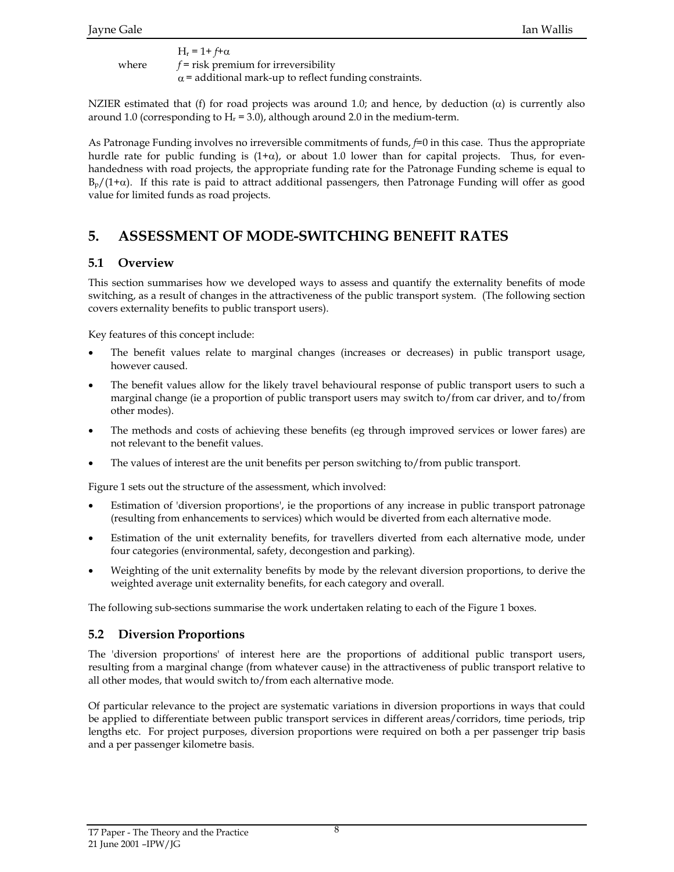| where | $H_r = 1 + f + \alpha$<br>$f =$ risk premium for irreversibility |
|-------|------------------------------------------------------------------|
|       | $\alpha$ = additional mark-up to reflect funding constraints.    |

NZIER estimated that (f) for road projects was around 1.0; and hence, by deduction  $(\alpha)$  is currently also around 1.0 (corresponding to  $H_r = 3.0$ ), although around 2.0 in the medium-term.

As Patronage Funding involves no irreversible commitments of funds, *f*=0 in this case. Thus the appropriate hurdle rate for public funding is  $(1+\alpha)$ , or about 1.0 lower than for capital projects. Thus, for evenhandedness with road projects, the appropriate funding rate for the Patronage Funding scheme is equal to  $B_p/(1+\alpha)$ . If this rate is paid to attract additional passengers, then Patronage Funding will offer as good value for limited funds as road projects.

## **5. ASSESSMENT OF MODE-SWITCHING BENEFIT RATES**

### **5.1 Overview**

This section summarises how we developed ways to assess and quantify the externality benefits of mode switching, as a result of changes in the attractiveness of the public transport system. (The following section covers externality benefits to public transport users).

Key features of this concept include:

- The benefit values relate to marginal changes (increases or decreases) in public transport usage, however caused.
- The benefit values allow for the likely travel behavioural response of public transport users to such a marginal change (ie a proportion of public transport users may switch to/from car driver, and to/from other modes).
- The methods and costs of achieving these benefits (eg through improved services or lower fares) are not relevant to the benefit values.
- The values of interest are the unit benefits per person switching to/from public transport.

Figure 1 sets out the structure of the assessment, which involved:

- Estimation of 'diversion proportions', ie the proportions of any increase in public transport patronage (resulting from enhancements to services) which would be diverted from each alternative mode.
- Estimation of the unit externality benefits, for travellers diverted from each alternative mode, under four categories (environmental, safety, decongestion and parking).
- Weighting of the unit externality benefits by mode by the relevant diversion proportions, to derive the weighted average unit externality benefits, for each category and overall.

The following sub-sections summarise the work undertaken relating to each of the Figure 1 boxes.

## **5.2 Diversion Proportions**

The 'diversion proportions' of interest here are the proportions of additional public transport users, resulting from a marginal change (from whatever cause) in the attractiveness of public transport relative to all other modes, that would switch to/from each alternative mode.

Of particular relevance to the project are systematic variations in diversion proportions in ways that could be applied to differentiate between public transport services in different areas/corridors, time periods, trip lengths etc. For project purposes, diversion proportions were required on both a per passenger trip basis and a per passenger kilometre basis.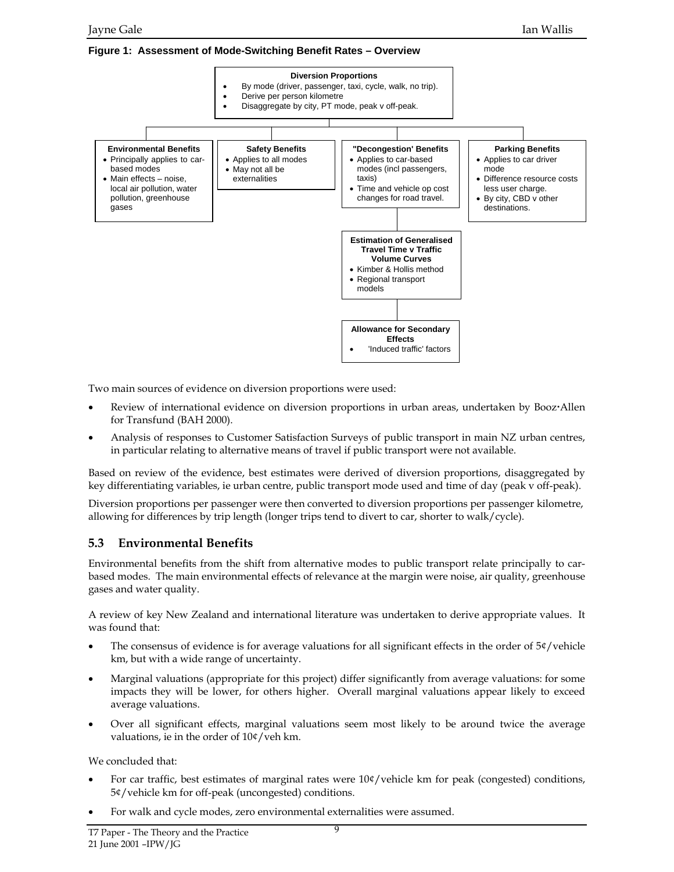#### **Figure 1: Assessment of Mode-Switching Benefit Rates – Overview**



Two main sources of evidence on diversion proportions were used:

- Review of international evidence on diversion proportions in urban areas, undertaken by Booz Allen for Transfund (BAH 2000).
- Analysis of responses to Customer Satisfaction Surveys of public transport in main NZ urban centres, in particular relating to alternative means of travel if public transport were not available.

Based on review of the evidence, best estimates were derived of diversion proportions, disaggregated by key differentiating variables, ie urban centre, public transport mode used and time of day (peak v off-peak).

Diversion proportions per passenger were then converted to diversion proportions per passenger kilometre, allowing for differences by trip length (longer trips tend to divert to car, shorter to walk/cycle).

#### **5.3 Environmental Benefits**

Environmental benefits from the shift from alternative modes to public transport relate principally to carbased modes. The main environmental effects of relevance at the margin were noise, air quality, greenhouse gases and water quality.

A review of key New Zealand and international literature was undertaken to derive appropriate values. It was found that:

- The consensus of evidence is for average valuations for all significant effects in the order of  $5¢$ /vehicle km, but with a wide range of uncertainty.
- Marginal valuations (appropriate for this project) differ significantly from average valuations: for some impacts they will be lower, for others higher. Overall marginal valuations appear likely to exceed average valuations.
- Over all significant effects, marginal valuations seem most likely to be around twice the average valuations, ie in the order of 10¢/veh km.

We concluded that:

- For car traffic, best estimates of marginal rates were 10¢/vehicle km for peak (congested) conditions, 5¢/vehicle km for off-peak (uncongested) conditions.
- For walk and cycle modes, zero environmental externalities were assumed.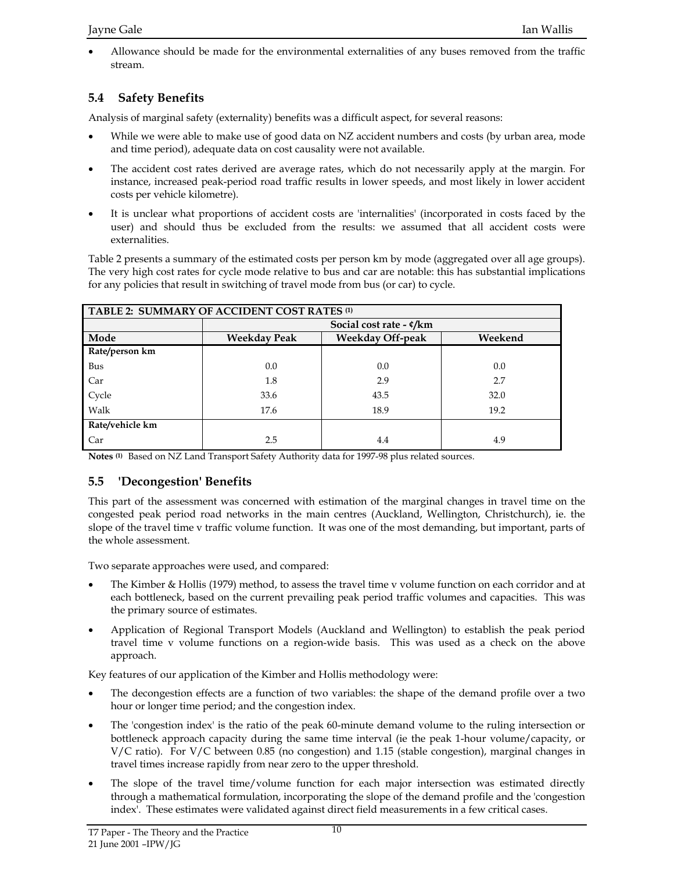• Allowance should be made for the environmental externalities of any buses removed from the traffic stream.

## **5.4 Safety Benefits**

Analysis of marginal safety (externality) benefits was a difficult aspect, for several reasons:

- While we were able to make use of good data on NZ accident numbers and costs (by urban area, mode and time period), adequate data on cost causality were not available.
- The accident cost rates derived are average rates, which do not necessarily apply at the margin. For instance, increased peak-period road traffic results in lower speeds, and most likely in lower accident costs per vehicle kilometre).
- It is unclear what proportions of accident costs are 'internalities' (incorporated in costs faced by the user) and should thus be excluded from the results: we assumed that all accident costs were externalities.

Table 2 presents a summary of the estimated costs per person km by mode (aggregated over all age groups). The very high cost rates for cycle mode relative to bus and car are notable: this has substantial implications for any policies that result in switching of travel mode from bus (or car) to cycle.

| TABLE 2: SUMMARY OF ACCIDENT COST RATES (1) |                     |                         |         |  |  |  |
|---------------------------------------------|---------------------|-------------------------|---------|--|--|--|
|                                             |                     | Social cost rate - ¢/km |         |  |  |  |
| Mode                                        | <b>Weekday Peak</b> | <b>Weekday Off-peak</b> | Weekend |  |  |  |
| Rate/person km                              |                     |                         |         |  |  |  |
| <b>Bus</b>                                  | 0.0                 | 0.0                     | 0.0     |  |  |  |
| Car                                         | 1.8                 | 2.9                     | 2.7     |  |  |  |
| Cycle                                       | 33.6                | 43.5                    | 32.0    |  |  |  |
| Walk                                        | 17.6                | 18.9                    | 19.2    |  |  |  |
| Rate/vehicle km                             |                     |                         |         |  |  |  |
| Car                                         | 2.5                 | 4.4                     | 4.9     |  |  |  |

**Notes (1)** Based on NZ Land Transport Safety Authority data for 1997-98 plus related sources.

## **5.5 'Decongestion' Benefits**

This part of the assessment was concerned with estimation of the marginal changes in travel time on the congested peak period road networks in the main centres (Auckland, Wellington, Christchurch), ie. the slope of the travel time v traffic volume function. It was one of the most demanding, but important, parts of the whole assessment.

Two separate approaches were used, and compared:

- The Kimber & Hollis (1979) method, to assess the travel time v volume function on each corridor and at each bottleneck, based on the current prevailing peak period traffic volumes and capacities. This was the primary source of estimates.
- Application of Regional Transport Models (Auckland and Wellington) to establish the peak period travel time v volume functions on a region-wide basis. This was used as a check on the above approach.

Key features of our application of the Kimber and Hollis methodology were:

- The decongestion effects are a function of two variables: the shape of the demand profile over a two hour or longer time period; and the congestion index.
- The 'congestion index' is the ratio of the peak 60-minute demand volume to the ruling intersection or bottleneck approach capacity during the same time interval (ie the peak 1-hour volume/capacity, or V/C ratio). For V/C between 0.85 (no congestion) and 1.15 (stable congestion), marginal changes in travel times increase rapidly from near zero to the upper threshold.
- The slope of the travel time/volume function for each major intersection was estimated directly through a mathematical formulation, incorporating the slope of the demand profile and the 'congestion index'. These estimates were validated against direct field measurements in a few critical cases.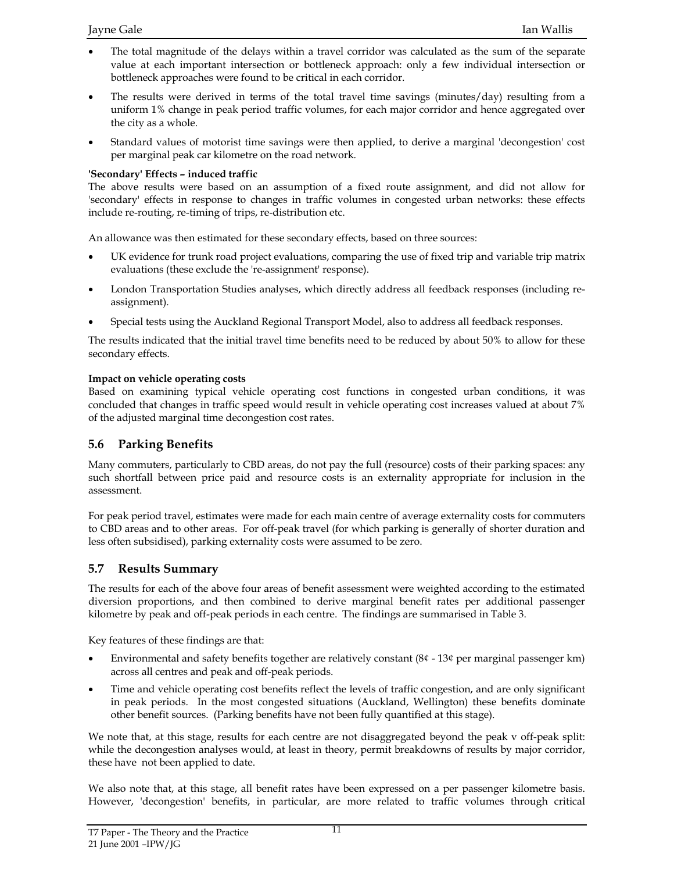- The total magnitude of the delays within a travel corridor was calculated as the sum of the separate value at each important intersection or bottleneck approach: only a few individual intersection or bottleneck approaches were found to be critical in each corridor.
- The results were derived in terms of the total travel time savings (minutes/day) resulting from a uniform 1% change in peak period traffic volumes, for each major corridor and hence aggregated over the city as a whole.
- Standard values of motorist time savings were then applied, to derive a marginal 'decongestion' cost per marginal peak car kilometre on the road network.

#### **'Secondary' Effects – induced traffic**

The above results were based on an assumption of a fixed route assignment, and did not allow for 'secondary' effects in response to changes in traffic volumes in congested urban networks: these effects include re-routing, re-timing of trips, re-distribution etc.

An allowance was then estimated for these secondary effects, based on three sources:

- UK evidence for trunk road project evaluations, comparing the use of fixed trip and variable trip matrix evaluations (these exclude the 're-assignment' response).
- London Transportation Studies analyses, which directly address all feedback responses (including reassignment).
- Special tests using the Auckland Regional Transport Model, also to address all feedback responses.

The results indicated that the initial travel time benefits need to be reduced by about 50% to allow for these secondary effects.

#### **Impact on vehicle operating costs**

Based on examining typical vehicle operating cost functions in congested urban conditions, it was concluded that changes in traffic speed would result in vehicle operating cost increases valued at about 7% of the adjusted marginal time decongestion cost rates.

### **5.6 Parking Benefits**

Many commuters, particularly to CBD areas, do not pay the full (resource) costs of their parking spaces: any such shortfall between price paid and resource costs is an externality appropriate for inclusion in the assessment.

For peak period travel, estimates were made for each main centre of average externality costs for commuters to CBD areas and to other areas. For off-peak travel (for which parking is generally of shorter duration and less often subsidised), parking externality costs were assumed to be zero.

### **5.7 Results Summary**

The results for each of the above four areas of benefit assessment were weighted according to the estimated diversion proportions, and then combined to derive marginal benefit rates per additional passenger kilometre by peak and off-peak periods in each centre. The findings are summarised in Table 3.

Key features of these findings are that:

- Environmental and safety benefits together are relatively constant (8¢ 13¢ per marginal passenger km) across all centres and peak and off-peak periods.
- Time and vehicle operating cost benefits reflect the levels of traffic congestion, and are only significant in peak periods. In the most congested situations (Auckland, Wellington) these benefits dominate other benefit sources. (Parking benefits have not been fully quantified at this stage).

We note that, at this stage, results for each centre are not disaggregated beyond the peak v off-peak split: while the decongestion analyses would, at least in theory, permit breakdowns of results by major corridor, these have not been applied to date.

We also note that, at this stage, all benefit rates have been expressed on a per passenger kilometre basis. However, 'decongestion' benefits, in particular, are more related to traffic volumes through critical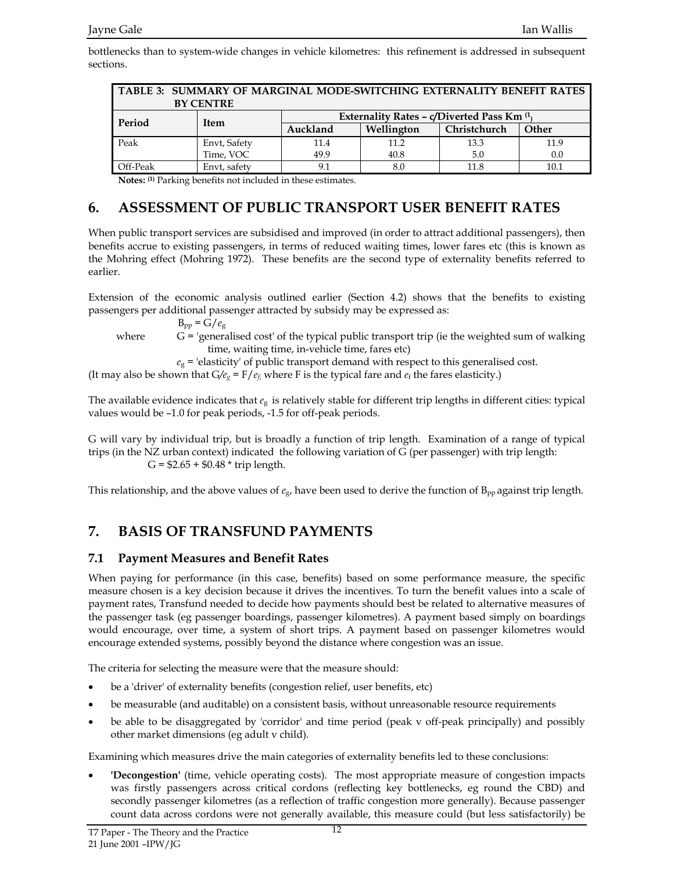bottlenecks than to system-wide changes in vehicle kilometres: this refinement is addressed in subsequent sections.

| TABLE 3: SUMMARY OF MARGINAL MODE-SWITCHING EXTERNALITY BENEFIT RATES<br><b>BY CENTRE</b> |              |          |                                              |              |              |
|-------------------------------------------------------------------------------------------|--------------|----------|----------------------------------------------|--------------|--------------|
| Period                                                                                    | Item         |          | Externality Rates - c/Diverted Pass Km $(1)$ |              |              |
|                                                                                           |              | Auckland | Wellington                                   | Christchurch | <b>Other</b> |
| Peak                                                                                      | Envt, Safety | 11.4     | 11.2                                         | 13.3         | 11.9         |
|                                                                                           | Time, VOC    | 49.9     | 40.8                                         | 5.0          | 0.0          |
| Off-Peak                                                                                  | Envt, safety |          | 8.0                                          | 11.8         | 10.1         |

**Notes: (1)** Parking benefits not included in these estimates.

# **6. ASSESSMENT OF PUBLIC TRANSPORT USER BENEFIT RATES**

When public transport services are subsidised and improved (in order to attract additional passengers), then benefits accrue to existing passengers, in terms of reduced waiting times, lower fares etc (this is known as the Mohring effect (Mohring 1972). These benefits are the second type of externality benefits referred to earlier.

Extension of the economic analysis outlined earlier (Section 4.2) shows that the benefits to existing passengers per additional passenger attracted by subsidy may be expressed as:

 $B_{\rm pp} = G/e_{\rm g}$ where G = 'generalised cost' of the typical public transport trip (ie the weighted sum of walking time, waiting time, in-vehicle time, fares etc)

 $e_g$  = 'elasticity' of public transport demand with respect to this generalised cost.

(It may also be shown that  $G/e<sub>g</sub> = F/e<sub>f</sub>$ , where F is the typical fare and  $e<sub>f</sub>$  the fares elasticity.)

The available evidence indicates that *e*g is relatively stable for different trip lengths in different cities: typical values would be –1.0 for peak periods, -1.5 for off-peak periods.

G will vary by individual trip, but is broadly a function of trip length. Examination of a range of typical trips (in the NZ urban context) indicated the following variation of G (per passenger) with trip length:  $G = $2.65 + $0.48 *$  trip length.

This relationship, and the above values of  $e_{\rm g}$ , have been used to derive the function of B<sub>pp</sub> against trip length.

# **7. BASIS OF TRANSFUND PAYMENTS**

## **7.1 Payment Measures and Benefit Rates**

When paying for performance (in this case, benefits) based on some performance measure, the specific measure chosen is a key decision because it drives the incentives. To turn the benefit values into a scale of payment rates, Transfund needed to decide how payments should best be related to alternative measures of the passenger task (eg passenger boardings, passenger kilometres). A payment based simply on boardings would encourage, over time, a system of short trips. A payment based on passenger kilometres would encourage extended systems, possibly beyond the distance where congestion was an issue.

The criteria for selecting the measure were that the measure should:

- be a 'driver' of externality benefits (congestion relief, user benefits, etc)
- be measurable (and auditable) on a consistent basis, without unreasonable resource requirements
- be able to be disaggregated by 'corridor' and time period (peak v off-peak principally) and possibly other market dimensions (eg adult v child).

Examining which measures drive the main categories of externality benefits led to these conclusions:

• **'Decongestion'** (time, vehicle operating costs). The most appropriate measure of congestion impacts was firstly passengers across critical cordons (reflecting key bottlenecks, eg round the CBD) and secondly passenger kilometres (as a reflection of traffic congestion more generally). Because passenger count data across cordons were not generally available, this measure could (but less satisfactorily) be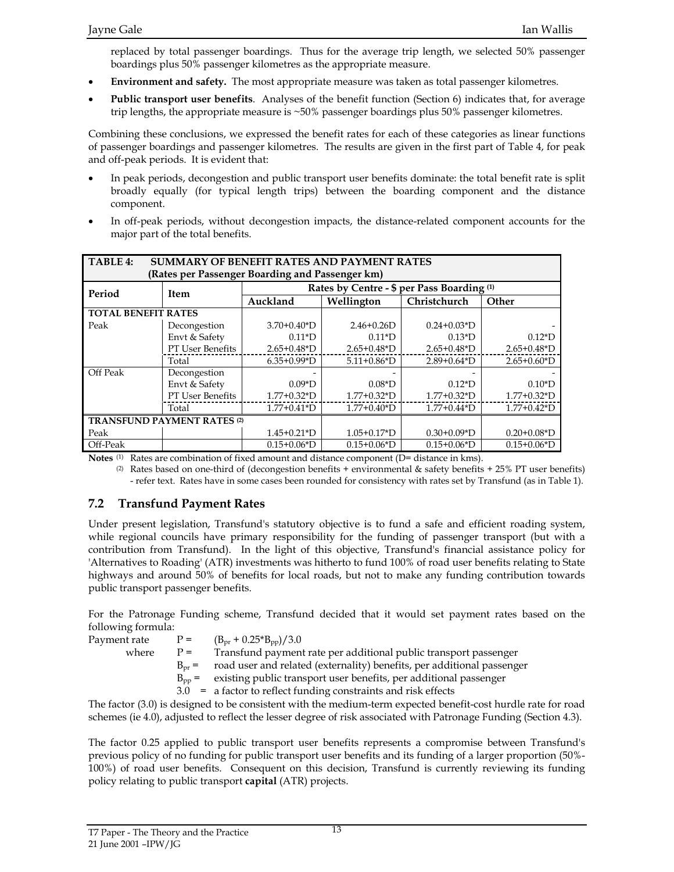replaced by total passenger boardings. Thus for the average trip length, we selected 50% passenger boardings plus 50% passenger kilometres as the appropriate measure.

- **Environment and safety.** The most appropriate measure was taken as total passenger kilometres.
- **Public transport user benefits**. Analyses of the benefit function (Section 6) indicates that, for average trip lengths, the appropriate measure is ~50% passenger boardings plus 50% passenger kilometres.

Combining these conclusions, we expressed the benefit rates for each of these categories as linear functions of passenger boardings and passenger kilometres. The results are given in the first part of Table 4, for peak and off-peak periods. It is evident that:

- In peak periods, decongestion and public transport user benefits dominate: the total benefit rate is split broadly equally (for typical length trips) between the boarding component and the distance component.
- In off-peak periods, without decongestion impacts, the distance-related component accounts for the major part of the total benefits.

| TABLE 4:<br><b>SUMMARY OF BENEFIT RATES AND PAYMENT RATES</b>                                      |                  |                              |                                            |                        |                        |  |
|----------------------------------------------------------------------------------------------------|------------------|------------------------------|--------------------------------------------|------------------------|------------------------|--|
| (Rates per Passenger Boarding and Passenger km)                                                    |                  |                              |                                            |                        |                        |  |
| Period                                                                                             | <b>Item</b>      |                              | Rates by Centre - \$ per Pass Boarding (1) |                        |                        |  |
|                                                                                                    |                  | Auckland                     | Wellington                                 | Christchurch           | Other                  |  |
| <b>TOTAL BENEFIT RATES</b>                                                                         |                  |                              |                                            |                        |                        |  |
| Peak                                                                                               | Decongestion     | $3.70+0.40*D$                | $2.46 + 0.26D$                             | $0.24 + 0.03 \times D$ |                        |  |
|                                                                                                    | Envt & Safety    | $0.11*D$                     | $0.11*D$                                   | $0.13*D$               | $0.12*D$               |  |
|                                                                                                    | PT User Benefits | $2.65+0.48*D$                | $2.65+0.48*D$                              | $2.65 + 0.48 \times D$ | $2.65 + 0.48 \times D$ |  |
|                                                                                                    | Total            | $6.35+0.99*D$                | $5.11+0.86*D$                              | $2.89 + 0.64 \times D$ | $2.65+0.60*D$          |  |
| Off Peak                                                                                           | Decongestion     |                              |                                            |                        |                        |  |
|                                                                                                    | Envt & Safety    | $0.09*D$                     | $0.08*D$                                   | $0.12*D$               | $0.10*D$               |  |
|                                                                                                    | PT User Benefits | $1.77+0.32*D$                | $1.77+0.32*D$                              | $1.77+0.32*D$          | $1.77+0.32*D$          |  |
|                                                                                                    | Total            | $1.77+0.41*D$                | $1.77+0.40*D$                              | $1.77+0.44*D$          | $1.77+0.42*D$          |  |
| <b>TRANSFUND PAYMENT RATES (2)</b>                                                                 |                  |                              |                                            |                        |                        |  |
| Peak                                                                                               |                  | $1.45 + 0.21$ <sup>*</sup> D | $1.05 + 0.17 \times D$                     | $0.30 + 0.09*D$        | $0.20 + 0.08 \times D$ |  |
| Off-Peak                                                                                           |                  | $0.15+0.06*D$                | $0.15 + 0.06 \times D$                     | $0.15+0.06*D$          | $0.15 + 0.06 \times D$ |  |
| Notes $(1)$ , Dates are combination of fixed amount and distance company $(D-$ distance in $(m_0)$ |                  |                              |                                            |                        |                        |  |

**Notes** (1) Rates are combination of fixed amount and distance component (D= distance in kms).

(2) Rates based on one-third of (decongestion benefits + environmental & safety benefits + 25% PT user benefits) - refer text. Rates have in some cases been rounded for consistency with rates set by Transfund (as in Table 1).

## **7.2 Transfund Payment Rates**

Under present legislation, Transfund's statutory objective is to fund a safe and efficient roading system, while regional councils have primary responsibility for the funding of passenger transport (but with a contribution from Transfund). In the light of this objective, Transfund's financial assistance policy for 'Alternatives to Roading' (ATR) investments was hitherto to fund 100% of road user benefits relating to State highways and around 50% of benefits for local roads, but not to make any funding contribution towards public transport passenger benefits.

For the Patronage Funding scheme, Transfund decided that it would set payment rates based on the following formula:

| Payment rate | $P =$ | $(B_{\text{pr}} + 0.25 B_{\text{pp}})/3.0$ |  |
|--------------|-------|--------------------------------------------|--|

where  $P =$  Transfund payment rate per additional public transport passenger

 $B_{\text{pr}}$  = road user and related (externality) benefits, per additional passenger

 $B_{\text{pp}}$  = existing public transport user benefits, per additional passenger

3.0 = a factor to reflect funding constraints and risk effects

The factor (3.0) is designed to be consistent with the medium-term expected benefit-cost hurdle rate for road schemes (ie 4.0), adjusted to reflect the lesser degree of risk associated with Patronage Funding (Section 4.3).

The factor 0.25 applied to public transport user benefits represents a compromise between Transfund's previous policy of no funding for public transport user benefits and its funding of a larger proportion (50%- 100%) of road user benefits. Consequent on this decision, Transfund is currently reviewing its funding policy relating to public transport **capital** (ATR) projects.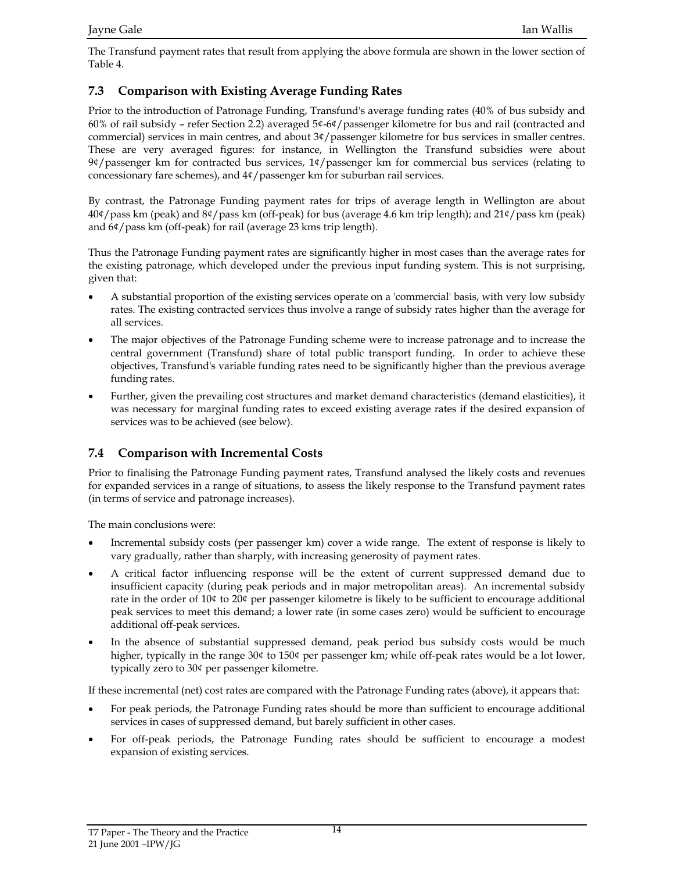The Transfund payment rates that result from applying the above formula are shown in the lower section of Table 4.

## **7.3 Comparison with Existing Average Funding Rates**

Prior to the introduction of Patronage Funding, Transfund's average funding rates (40% of bus subsidy and 60% of rail subsidy – refer Section 2.2) averaged 5¢-6¢/passenger kilometre for bus and rail (contracted and commercial) services in main centres, and about 3¢/passenger kilometre for bus services in smaller centres. These are very averaged figures: for instance, in Wellington the Transfund subsidies were about 9¢/passenger km for contracted bus services, 1¢/passenger km for commercial bus services (relating to concessionary fare schemes), and 4¢/passenger km for suburban rail services.

By contrast, the Patronage Funding payment rates for trips of average length in Wellington are about 40¢/pass km (peak) and 8¢/pass km (off-peak) for bus (average 4.6 km trip length); and 21¢/pass km (peak) and 6¢/pass km (off-peak) for rail (average 23 kms trip length).

Thus the Patronage Funding payment rates are significantly higher in most cases than the average rates for the existing patronage, which developed under the previous input funding system. This is not surprising, given that:

- A substantial proportion of the existing services operate on a 'commercial' basis, with very low subsidy rates. The existing contracted services thus involve a range of subsidy rates higher than the average for all services.
- The major objectives of the Patronage Funding scheme were to increase patronage and to increase the central government (Transfund) share of total public transport funding. In order to achieve these objectives, Transfund's variable funding rates need to be significantly higher than the previous average funding rates.
- Further, given the prevailing cost structures and market demand characteristics (demand elasticities), it was necessary for marginal funding rates to exceed existing average rates if the desired expansion of services was to be achieved (see below).

## **7.4 Comparison with Incremental Costs**

Prior to finalising the Patronage Funding payment rates, Transfund analysed the likely costs and revenues for expanded services in a range of situations, to assess the likely response to the Transfund payment rates (in terms of service and patronage increases).

The main conclusions were:

- Incremental subsidy costs (per passenger km) cover a wide range. The extent of response is likely to vary gradually, rather than sharply, with increasing generosity of payment rates.
- A critical factor influencing response will be the extent of current suppressed demand due to insufficient capacity (during peak periods and in major metropolitan areas). An incremental subsidy rate in the order of 10¢ to 20¢ per passenger kilometre is likely to be sufficient to encourage additional peak services to meet this demand; a lower rate (in some cases zero) would be sufficient to encourage additional off-peak services.
- In the absence of substantial suppressed demand, peak period bus subsidy costs would be much higher, typically in the range 30¢ to 150¢ per passenger km; while off-peak rates would be a lot lower, typically zero to 30¢ per passenger kilometre.

If these incremental (net) cost rates are compared with the Patronage Funding rates (above), it appears that:

- For peak periods, the Patronage Funding rates should be more than sufficient to encourage additional services in cases of suppressed demand, but barely sufficient in other cases.
- For off-peak periods, the Patronage Funding rates should be sufficient to encourage a modest expansion of existing services.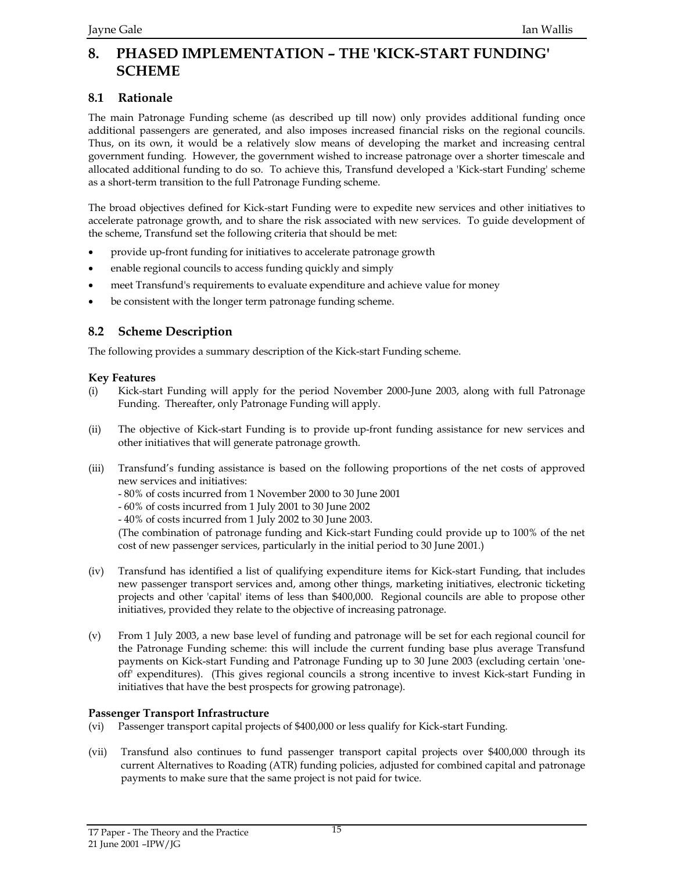# **8. PHASED IMPLEMENTATION – THE 'KICK-START FUNDING' SCHEME**

### **8.1 Rationale**

The main Patronage Funding scheme (as described up till now) only provides additional funding once additional passengers are generated, and also imposes increased financial risks on the regional councils. Thus, on its own, it would be a relatively slow means of developing the market and increasing central government funding. However, the government wished to increase patronage over a shorter timescale and allocated additional funding to do so. To achieve this, Transfund developed a 'Kick-start Funding' scheme as a short-term transition to the full Patronage Funding scheme.

The broad objectives defined for Kick-start Funding were to expedite new services and other initiatives to accelerate patronage growth, and to share the risk associated with new services. To guide development of the scheme, Transfund set the following criteria that should be met:

- provide up-front funding for initiatives to accelerate patronage growth
- enable regional councils to access funding quickly and simply
- meet Transfund's requirements to evaluate expenditure and achieve value for money
- be consistent with the longer term patronage funding scheme.

## **8.2 Scheme Description**

The following provides a summary description of the Kick-start Funding scheme.

#### **Key Features**

- (i) Kick-start Funding will apply for the period November 2000-June 2003, along with full Patronage Funding. Thereafter, only Patronage Funding will apply.
- (ii) The objective of Kick-start Funding is to provide up-front funding assistance for new services and other initiatives that will generate patronage growth.
- (iii) Transfund's funding assistance is based on the following proportions of the net costs of approved new services and initiatives:
	- 80% of costs incurred from 1 November 2000 to 30 June 2001
	- 60% of costs incurred from 1 July 2001 to 30 June 2002
	- 40% of costs incurred from 1 July 2002 to 30 June 2003.

 (The combination of patronage funding and Kick-start Funding could provide up to 100% of the net cost of new passenger services, particularly in the initial period to 30 June 2001.)

- (iv) Transfund has identified a list of qualifying expenditure items for Kick-start Funding, that includes new passenger transport services and, among other things, marketing initiatives, electronic ticketing projects and other 'capital' items of less than \$400,000. Regional councils are able to propose other initiatives, provided they relate to the objective of increasing patronage.
- (v) From 1 July 2003, a new base level of funding and patronage will be set for each regional council for the Patronage Funding scheme: this will include the current funding base plus average Transfund payments on Kick-start Funding and Patronage Funding up to 30 June 2003 (excluding certain 'oneoff' expenditures). (This gives regional councils a strong incentive to invest Kick-start Funding in initiatives that have the best prospects for growing patronage).

#### **Passenger Transport Infrastructure**

- (vi) Passenger transport capital projects of \$400,000 or less qualify for Kick-start Funding.
- (vii) Transfund also continues to fund passenger transport capital projects over \$400,000 through its current Alternatives to Roading (ATR) funding policies, adjusted for combined capital and patronage payments to make sure that the same project is not paid for twice.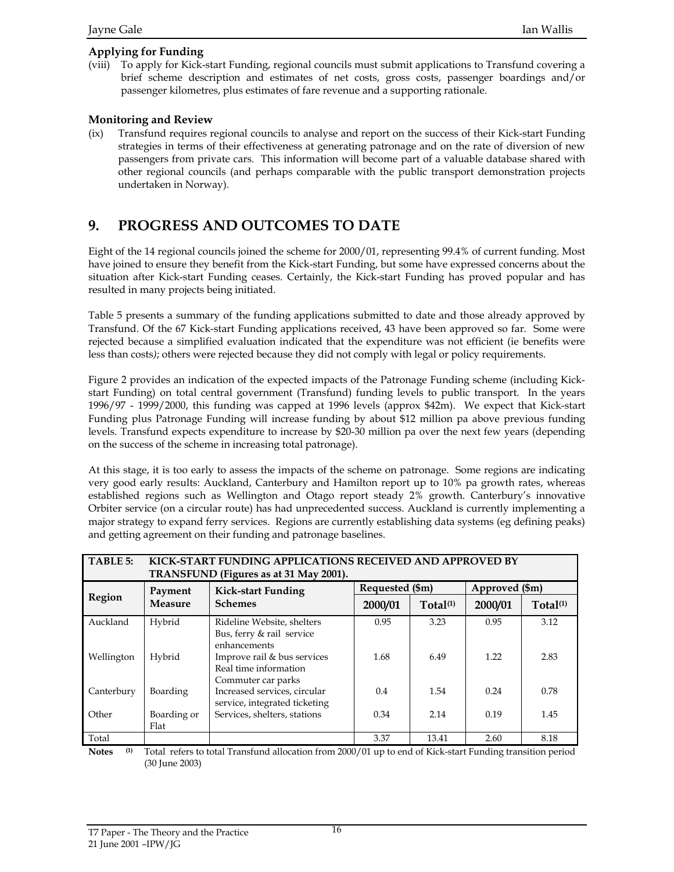#### **Applying for Funding**

(viii) To apply for Kick-start Funding, regional councils must submit applications to Transfund covering a brief scheme description and estimates of net costs, gross costs, passenger boardings and/or passenger kilometres, plus estimates of fare revenue and a supporting rationale.

#### **Monitoring and Review**

(ix) Transfund requires regional councils to analyse and report on the success of their Kick-start Funding strategies in terms of their effectiveness at generating patronage and on the rate of diversion of new passengers from private cars. This information will become part of a valuable database shared with other regional councils (and perhaps comparable with the public transport demonstration projects undertaken in Norway).

# **9. PROGRESS AND OUTCOMES TO DATE**

Eight of the 14 regional councils joined the scheme for 2000/01, representing 99.4% of current funding. Most have joined to ensure they benefit from the Kick-start Funding, but some have expressed concerns about the situation after Kick-start Funding ceases. Certainly, the Kick-start Funding has proved popular and has resulted in many projects being initiated.

Table 5 presents a summary of the funding applications submitted to date and those already approved by Transfund. Of the 67 Kick-start Funding applications received, 43 have been approved so far. Some were rejected because a simplified evaluation indicated that the expenditure was not efficient (ie benefits were less than costs*)*; others were rejected because they did not comply with legal or policy requirements.

Figure 2 provides an indication of the expected impacts of the Patronage Funding scheme (including Kickstart Funding) on total central government (Transfund) funding levels to public transport. In the years 1996/97 - 1999/2000, this funding was capped at 1996 levels (approx \$42m). We expect that Kick-start Funding plus Patronage Funding will increase funding by about \$12 million pa above previous funding levels. Transfund expects expenditure to increase by \$20-30 million pa over the next few years (depending on the success of the scheme in increasing total patronage).

At this stage, it is too early to assess the impacts of the scheme on patronage. Some regions are indicating very good early results: Auckland, Canterbury and Hamilton report up to 10% pa growth rates, whereas established regions such as Wellington and Otago report steady 2% growth. Canterbury's innovative Orbiter service (on a circular route) has had unprecedented success. Auckland is currently implementing a major strategy to expand ferry services. Regions are currently establishing data systems (eg defining peaks) and getting agreement on their funding and patronage baselines.

| TABLE 5:<br>KICK-START FUNDING APPLICATIONS RECEIVED AND APPROVED BY<br>TRANSFUND (Figures as at 31 May 2001). |                     |                                                                            |                               |       |         |                      |  |
|----------------------------------------------------------------------------------------------------------------|---------------------|----------------------------------------------------------------------------|-------------------------------|-------|---------|----------------------|--|
|                                                                                                                | Payment             | Approved (\$m)<br>Requested (\$m)                                          |                               |       |         |                      |  |
| Region                                                                                                         | Measure             | <b>Schemes</b>                                                             | Kick-start Funding<br>2000/01 |       | 2000/01 | Total <sup>(1)</sup> |  |
| Auckland                                                                                                       | Hybrid              | Rideline Website, shelters<br>Bus, ferry & rail service<br>enhancements    | 0.95                          | 3.23  | 0.95    | 3.12                 |  |
| Wellington                                                                                                     | Hybrid              | Improve rail & bus services<br>Real time information<br>Commuter car parks | 1.68                          | 6.49  | 1.22    | 2.83                 |  |
| Canterbury                                                                                                     | Boarding            | Increased services, circular<br>service, integrated ticketing              | 0.4                           | 1.54  | 0.24    | 0.78                 |  |
| Other                                                                                                          | Boarding or<br>Flat | Services, shelters, stations                                               | 0.34                          | 2.14  | 0.19    | 1.45                 |  |
| Total                                                                                                          |                     |                                                                            | 3.37                          | 13.41 | 2.60    | 8.18                 |  |

**Notes (1)** Total refers to total Transfund allocation from 2000/01 up to end of Kick-start Funding transition period (30 June 2003)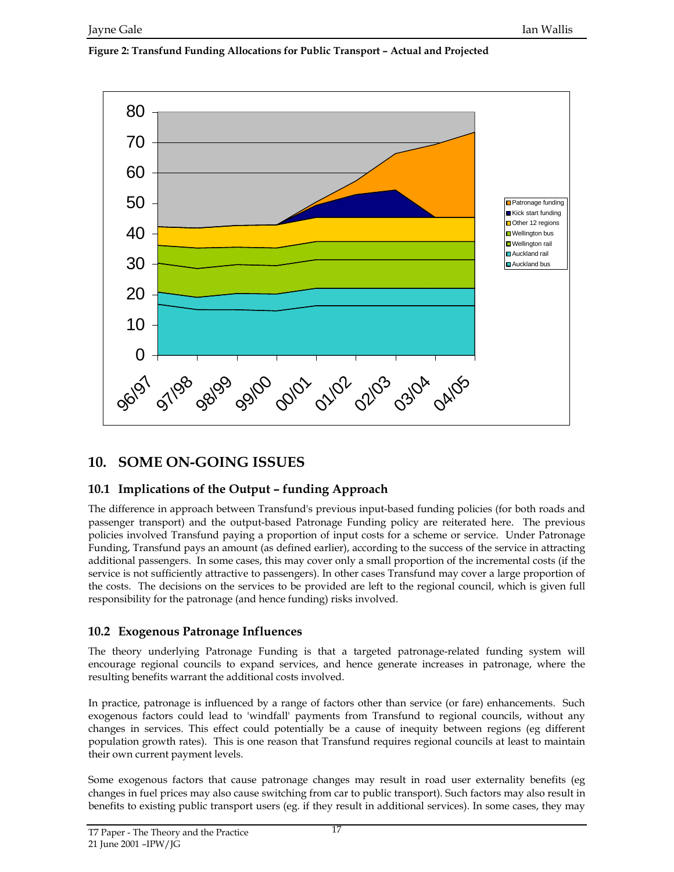



## **10. SOME ON-GOING ISSUES**

## **10.1 Implications of the Output – funding Approach**

The difference in approach between Transfund's previous input-based funding policies (for both roads and passenger transport) and the output-based Patronage Funding policy are reiterated here. The previous policies involved Transfund paying a proportion of input costs for a scheme or service. Under Patronage Funding, Transfund pays an amount (as defined earlier), according to the success of the service in attracting additional passengers. In some cases, this may cover only a small proportion of the incremental costs (if the service is not sufficiently attractive to passengers). In other cases Transfund may cover a large proportion of the costs. The decisions on the services to be provided are left to the regional council, which is given full responsibility for the patronage (and hence funding) risks involved.

## **10.2 Exogenous Patronage Influences**

The theory underlying Patronage Funding is that a targeted patronage-related funding system will encourage regional councils to expand services, and hence generate increases in patronage, where the resulting benefits warrant the additional costs involved.

In practice, patronage is influenced by a range of factors other than service (or fare) enhancements. Such exogenous factors could lead to 'windfall' payments from Transfund to regional councils, without any changes in services. This effect could potentially be a cause of inequity between regions (eg different population growth rates). This is one reason that Transfund requires regional councils at least to maintain their own current payment levels.

Some exogenous factors that cause patronage changes may result in road user externality benefits (eg changes in fuel prices may also cause switching from car to public transport). Such factors may also result in benefits to existing public transport users (eg. if they result in additional services). In some cases, they may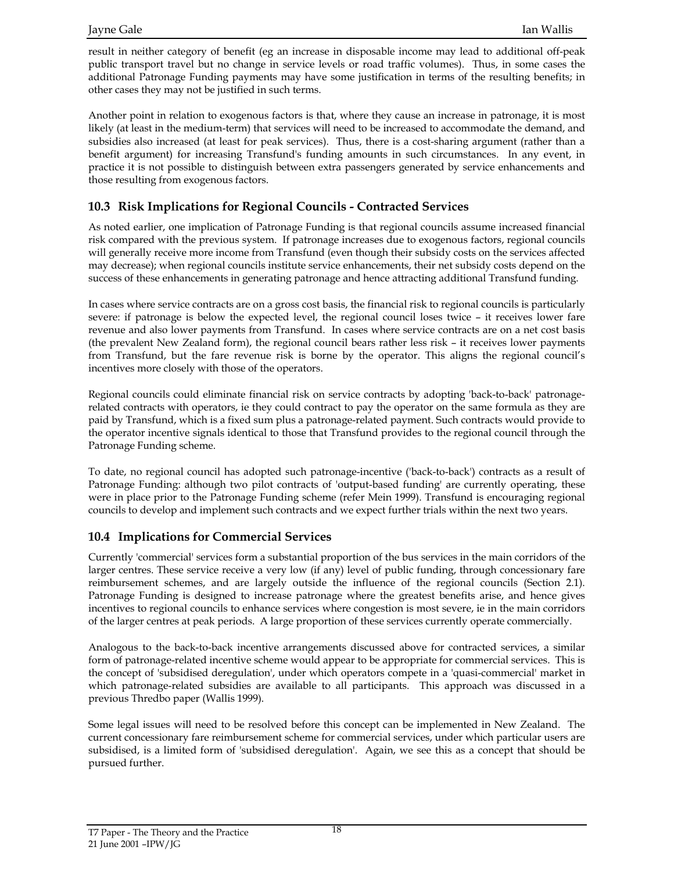result in neither category of benefit (eg an increase in disposable income may lead to additional off-peak public transport travel but no change in service levels or road traffic volumes). Thus, in some cases the additional Patronage Funding payments may have some justification in terms of the resulting benefits; in other cases they may not be justified in such terms.

Another point in relation to exogenous factors is that, where they cause an increase in patronage, it is most likely (at least in the medium-term) that services will need to be increased to accommodate the demand, and subsidies also increased (at least for peak services). Thus, there is a cost-sharing argument (rather than a benefit argument) for increasing Transfund's funding amounts in such circumstances. In any event, in practice it is not possible to distinguish between extra passengers generated by service enhancements and those resulting from exogenous factors.

## **10.3 Risk Implications for Regional Councils - Contracted Services**

As noted earlier, one implication of Patronage Funding is that regional councils assume increased financial risk compared with the previous system. If patronage increases due to exogenous factors, regional councils will generally receive more income from Transfund (even though their subsidy costs on the services affected may decrease); when regional councils institute service enhancements, their net subsidy costs depend on the success of these enhancements in generating patronage and hence attracting additional Transfund funding.

In cases where service contracts are on a gross cost basis, the financial risk to regional councils is particularly severe: if patronage is below the expected level, the regional council loses twice – it receives lower fare revenue and also lower payments from Transfund. In cases where service contracts are on a net cost basis (the prevalent New Zealand form), the regional council bears rather less risk – it receives lower payments from Transfund, but the fare revenue risk is borne by the operator. This aligns the regional council's incentives more closely with those of the operators.

Regional councils could eliminate financial risk on service contracts by adopting 'back-to-back' patronagerelated contracts with operators, ie they could contract to pay the operator on the same formula as they are paid by Transfund, which is a fixed sum plus a patronage-related payment. Such contracts would provide to the operator incentive signals identical to those that Transfund provides to the regional council through the Patronage Funding scheme.

To date, no regional council has adopted such patronage-incentive ('back-to-back') contracts as a result of Patronage Funding: although two pilot contracts of 'output-based funding' are currently operating, these were in place prior to the Patronage Funding scheme (refer Mein 1999). Transfund is encouraging regional councils to develop and implement such contracts and we expect further trials within the next two years.

## **10.4 Implications for Commercial Services**

Currently 'commercial' services form a substantial proportion of the bus services in the main corridors of the larger centres. These service receive a very low (if any) level of public funding, through concessionary fare reimbursement schemes, and are largely outside the influence of the regional councils (Section 2.1). Patronage Funding is designed to increase patronage where the greatest benefits arise, and hence gives incentives to regional councils to enhance services where congestion is most severe, ie in the main corridors of the larger centres at peak periods. A large proportion of these services currently operate commercially.

Analogous to the back-to-back incentive arrangements discussed above for contracted services, a similar form of patronage-related incentive scheme would appear to be appropriate for commercial services. This is the concept of 'subsidised deregulation', under which operators compete in a 'quasi-commercial' market in which patronage-related subsidies are available to all participants. This approach was discussed in a previous Thredbo paper (Wallis 1999).

Some legal issues will need to be resolved before this concept can be implemented in New Zealand. The current concessionary fare reimbursement scheme for commercial services, under which particular users are subsidised, is a limited form of 'subsidised deregulation'. Again, we see this as a concept that should be pursued further.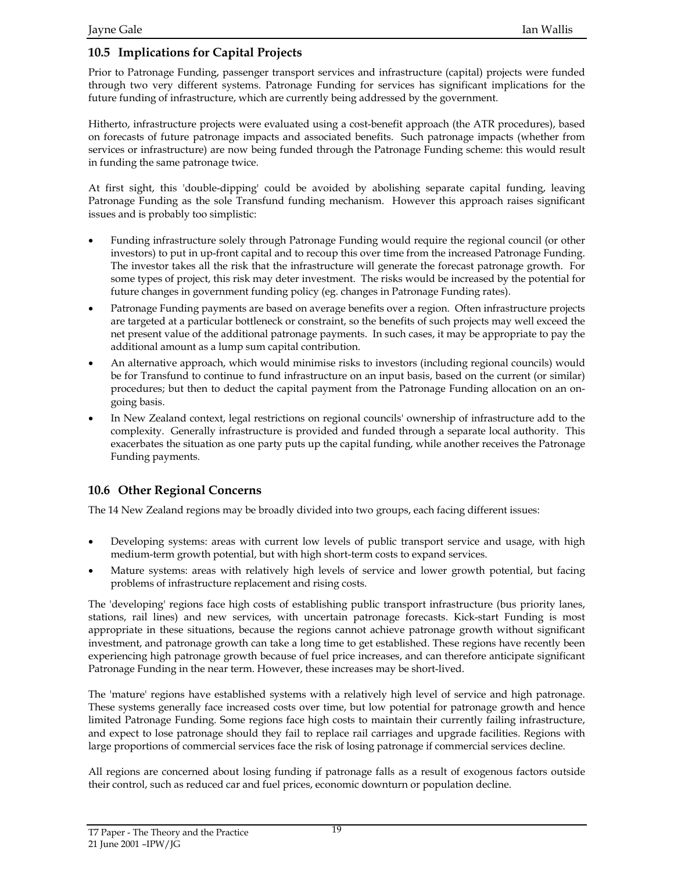### **10.5 Implications for Capital Projects**

Prior to Patronage Funding, passenger transport services and infrastructure (capital) projects were funded through two very different systems. Patronage Funding for services has significant implications for the future funding of infrastructure, which are currently being addressed by the government.

Hitherto, infrastructure projects were evaluated using a cost-benefit approach (the ATR procedures), based on forecasts of future patronage impacts and associated benefits. Such patronage impacts (whether from services or infrastructure) are now being funded through the Patronage Funding scheme: this would result in funding the same patronage twice.

At first sight, this 'double-dipping' could be avoided by abolishing separate capital funding, leaving Patronage Funding as the sole Transfund funding mechanism. However this approach raises significant issues and is probably too simplistic:

- Funding infrastructure solely through Patronage Funding would require the regional council (or other investors) to put in up-front capital and to recoup this over time from the increased Patronage Funding. The investor takes all the risk that the infrastructure will generate the forecast patronage growth. For some types of project, this risk may deter investment. The risks would be increased by the potential for future changes in government funding policy (eg. changes in Patronage Funding rates).
- Patronage Funding payments are based on average benefits over a region. Often infrastructure projects are targeted at a particular bottleneck or constraint, so the benefits of such projects may well exceed the net present value of the additional patronage payments. In such cases, it may be appropriate to pay the additional amount as a lump sum capital contribution.
- An alternative approach, which would minimise risks to investors (including regional councils) would be for Transfund to continue to fund infrastructure on an input basis, based on the current (or similar) procedures; but then to deduct the capital payment from the Patronage Funding allocation on an ongoing basis.
- In New Zealand context, legal restrictions on regional councils' ownership of infrastructure add to the complexity. Generally infrastructure is provided and funded through a separate local authority. This exacerbates the situation as one party puts up the capital funding, while another receives the Patronage Funding payments.

## **10.6 Other Regional Concerns**

The 14 New Zealand regions may be broadly divided into two groups, each facing different issues:

- Developing systems: areas with current low levels of public transport service and usage, with high medium-term growth potential, but with high short-term costs to expand services.
- Mature systems: areas with relatively high levels of service and lower growth potential, but facing problems of infrastructure replacement and rising costs.

The 'developing' regions face high costs of establishing public transport infrastructure (bus priority lanes, stations, rail lines) and new services, with uncertain patronage forecasts. Kick-start Funding is most appropriate in these situations, because the regions cannot achieve patronage growth without significant investment, and patronage growth can take a long time to get established. These regions have recently been experiencing high patronage growth because of fuel price increases, and can therefore anticipate significant Patronage Funding in the near term. However, these increases may be short-lived.

The 'mature' regions have established systems with a relatively high level of service and high patronage. These systems generally face increased costs over time, but low potential for patronage growth and hence limited Patronage Funding. Some regions face high costs to maintain their currently failing infrastructure, and expect to lose patronage should they fail to replace rail carriages and upgrade facilities. Regions with large proportions of commercial services face the risk of losing patronage if commercial services decline.

All regions are concerned about losing funding if patronage falls as a result of exogenous factors outside their control, such as reduced car and fuel prices, economic downturn or population decline.